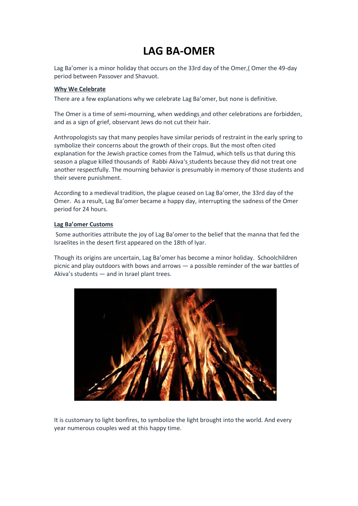## **LAG BA-OMER**

Lag Ba'omer is a minor holiday that occurs on the 33rd day of the [Omer,](https://www.myjewishlearning.com/article/how-to-count-the-omer/)( Omer the 49-day period between [Passover](https://www.myjewishlearning.com/article/passover-pesach-101/) and [Shavuot.](https://www.myjewishlearning.com/article/shavuot-101/)

## **Why We Celebrate**

There are a few explanations why we celebrate Lag Ba'omer, but none is definitive.

The Omer is a time of semi-mourning, when [weddings](https://www.myjewishlearning.com/article/ask-the-expert-wedding-timing/) and other celebrations are forbidden, and as a sign of grief, observant Jews do not [cut their](https://www.myjewishlearning.com/article/ask-the-expert-shaving-during-the-omer/) hair.

Anthropologists say that many peoples have similar periods of restraint in the early spring to symbolize their concerns about the growth of their crops. But the most often cited explanation for the Jewish practice comes from the [Talmud,](https://www.myjewishlearning.com/article/talmud/) which tells us that during this season a plague killed thousands of [Rabbi Akiva](https://www.myjewishlearning.com/article/rabbi-akiba/)'s students because they did not treat one another respectfully. The mourning behavior is presumably in memory of those students and their severe punishment.

According to a medieval tradition, the plague ceased on Lag Ba'omer, the 33rd day of the Omer. As a result, Lag Ba'omer became a happy day, interrupting the sadness of the Omer period for 24 hours.

## **Lag Ba'omer Customs**

Some authorities attribute the joy of Lag Ba'omer to the belief that the manna that fed the Israelites in the desert first appeared on the 18th of Iyar.

Though its origins are uncertain, Lag Ba'omer has become a minor holiday. Schoolchildren picnic and play outdoors with bows and arrows — a possible reminder of the war battles of Akiva's students — and in Israel plant trees.



It is customary to light bonfires, to symbolize the light brought into the world. And every year numerous couples wed at this happy time.